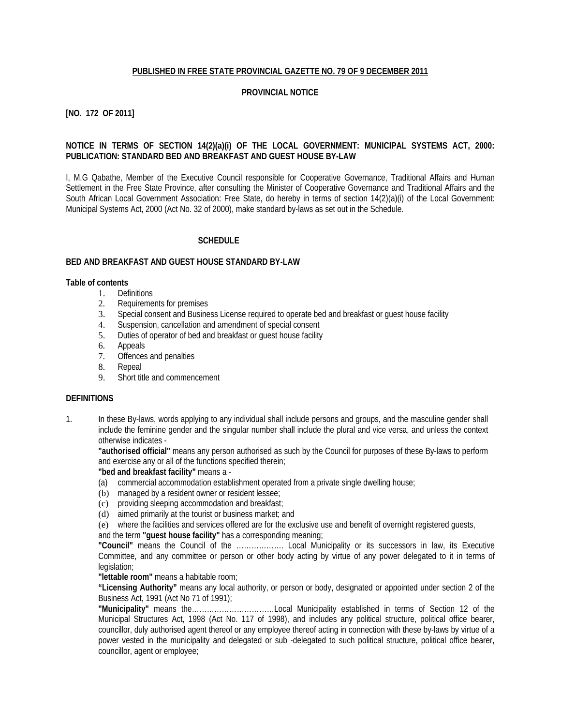#### **PUBLISHED IN FREE STATE PROVINCIAL GAZETTE NO. 79 OF 9 DECEMBER 2011**

#### **PROVINCIAL NOTICE**

## **[NO. 172 OF 2011]**

## **NOTICE IN TERMS OF SECTION 14(2)(a)(i) OF THE LOCAL GOVERNMENT: MUNICIPAL SYSTEMS ACT, 2000: PUBLICATION: STANDARD BED AND BREAKFAST AND GUEST HOUSE BY-LAW**

I, M.G Qabathe, Member of the Executive Council responsible for Cooperative Governance, Traditional Affairs and Human Settlement in the Free State Province, after consulting the Minister of Cooperative Governance and Traditional Affairs and the South African Local Government Association: Free State, do hereby in terms of section 14(2)(a)(i) of the Local Government: Municipal Systems Act, 2000 (Act No. 32 of 2000), make standard by-laws as set out in the Schedule.

#### **SCHEDULE**

#### **BED AND BREAKFAST AND GUEST HOUSE STANDARD BY-LAW**

#### **Table of contents**

- 1. Definitions<br>2. Requireme
- Requirements for premises
- 3. Special consent and Business License required to operate bed and breakfast or guest house facility
- 4. Suspension, cancellation and amendment of special consent
- 5. Duties of operator of bed and breakfast or guest house facility
- 6. Appeals
- 7. Offences and penalties
- 8. Repeal
- 9. Short title and commencement

#### **DEFINITIONS**

1. In these By-laws, words applying to any individual shall include persons and groups, and the masculine gender shall include the feminine gender and the singular number shall include the plural and vice versa, and unless the context otherwise indicates -

**"authorised official"** means any person authorised as such by the Council for purposes of these By-laws to perform and exercise any or all of the functions specified therein;

**"bed and breakfast facility"** means a -

- (a) commercial accommodation establishment operated from a private single dwelling house;
- (b) managed by a resident owner or resident lessee;
- (c) providing sleeping accommodation and breakfast;
- (d) aimed primarily at the tourist or business market; and
- (e) where the facilities and services offered are for the exclusive use and benefit of overnight registered guests,

and the term **"guest house facility"** has a corresponding meaning;

**"Council"** means the Council of the ………………. Local Municipality or its successors in law, its Executive Committee, and any committee or person or other body acting by virtue of any power delegated to it in terms of legislation:

**"lettable room"** means a habitable room;

**"Licensing Authority"** means any local authority, or person or body, designated or appointed under section 2 of the Business Act, 1991 (Act No 71 of 1991);

**"Municipality"** means the……………………………Local Municipality established in terms of Section 12 of the Municipal Structures Act, 1998 (Act No. 117 of 1998), and includes any political structure, political office bearer, councillor, duly authorised agent thereof or any employee thereof acting in connection with these by-laws by virtue of a power vested in the municipality and delegated or sub -delegated to such political structure, political office bearer, councillor, agent or employee;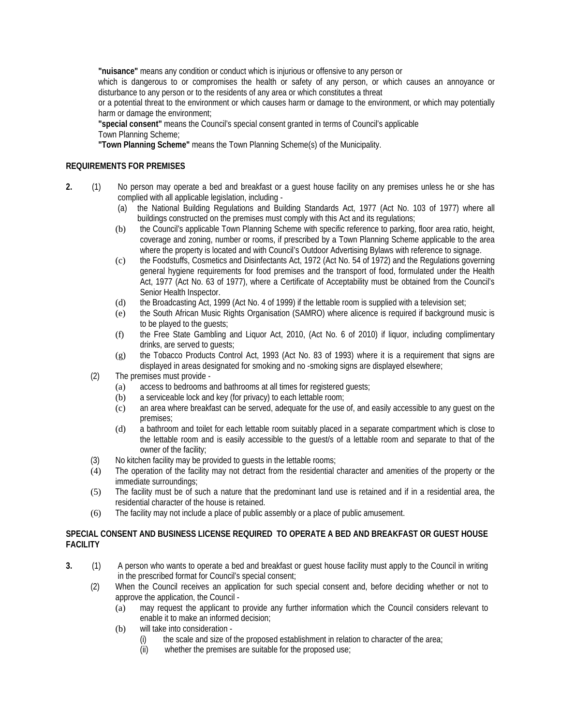**"nuisance"** means any condition or conduct which is injurious or offensive to any person or

which is dangerous to or compromises the health or safety of any person, or which causes an annoyance or disturbance to any person or to the residents of any area or which constitutes a threat

or a potential threat to the environment or which causes harm or damage to the environment, or which may potentially harm or damage the environment;

**"special consent"** means the Council's special consent granted in terms of Council's applicable Town Planning Scheme;

**"Town Planning Scheme"** means the Town Planning Scheme(s) of the Municipality.

## **REQUIREMENTS FOR PREMISES**

- **2.** (1) No person may operate a bed and breakfast or a guest house facility on any premises unless he or she has complied with all applicable legislation, including -
	- (a) the National Building Regulations and Building Standards Act, 1977 (Act No. 103 of 1977) where all buildings constructed on the premises must comply with this Act and its regulations;
	- (b) the Council's applicable Town Planning Scheme with specific reference to parking, floor area ratio, height, coverage and zoning, number or rooms, if prescribed by a Town Planning Scheme applicable to the area where the property is located and with Council's Outdoor Advertising Bylaws with reference to signage.
	- (c) the Foodstuffs, Cosmetics and Disinfectants Act, 1972 (Act No. 54 of 1972) and the Regulations governing general hygiene requirements for food premises and the transport of food, formulated under the Health Act, 1977 (Act No. 63 of 1977), where a Certificate of Acceptability must be obtained from the Council's Senior Health Inspector.
	- (d) the Broadcasting Act, 1999 (Act No. 4 of 1999) if the lettable room is supplied with a television set;
	- (e) the South African Music Rights Organisation (SAMRO) where alicence is required if background music is to be played to the guests;
	- (f) the Free State Gambling and Liquor Act, 2010, (Act No. 6 of 2010) if liquor, including complimentary drinks, are served to quests;
	- (g) the Tobacco Products Control Act, 1993 (Act No. 83 of 1993) where it is a requirement that signs are displayed in areas designated for smoking and no -smoking signs are displayed elsewhere;
	- (2) The premises must provide
		- (a) access to bedrooms and bathrooms at all times for registered guests;
		- (b) a serviceable lock and key (for privacy) to each lettable room;
		- (c) an area where breakfast can be served, adequate for the use of, and easily accessible to any guest on the premises;
		- (d) a bathroom and toilet for each lettable room suitably placed in a separate compartment which is close to the lettable room and is easily accessible to the guest/s of a lettable room and separate to that of the owner of the facility;
	- (3) No kitchen facility may be provided to guests in the lettable rooms;
	- (4) The operation of the facility may not detract from the residential character and amenities of the property or the immediate surroundings;
	- (5) The facility must be of such a nature that the predominant land use is retained and if in a residential area, the residential character of the house is retained.
	- (6) The facility may not include a place of public assembly or a place of public amusement.

## **SPECIAL CONSENT AND BUSINESS LICENSE REQUIRED TO OPERATE A BED AND BREAKFAST OR GUEST HOUSE FACILITY**

- **3.** (1) A person who wants to operate a bed and breakfast or guest house facility must apply to the Council in writing in the prescribed format for Council's special consent;
	- (2) When the Council receives an application for such special consent and, before deciding whether or not to approve the application, the Council -
		- (a) may request the applicant to provide any further information which the Council considers relevant to enable it to make an informed decision;
		- (b) will take into consideration
			- (i) the scale and size of the proposed establishment in relation to character of the area;
			- (ii) whether the premises are suitable for the proposed use;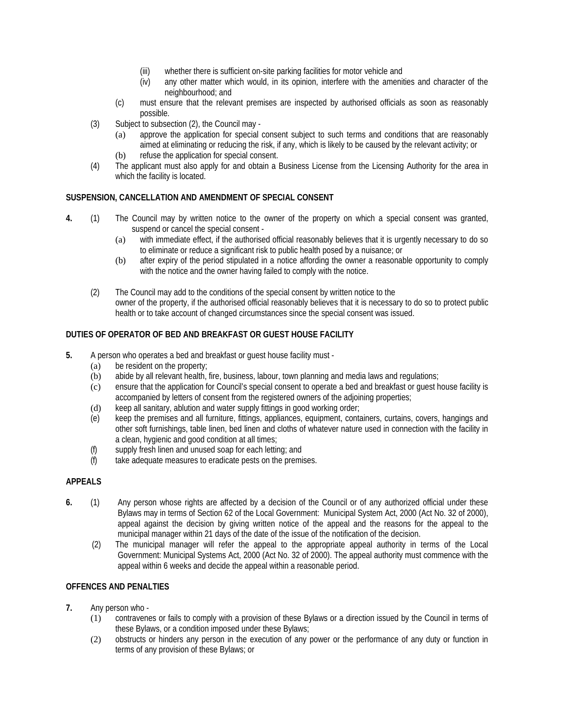- (iii) whether there is sufficient on-site parking facilities for motor vehicle and
- (iv) any other matter which would, in its opinion, interfere with the amenities and character of the neighbourhood; and
- (c) must ensure that the relevant premises are inspected by authorised officials as soon as reasonably possible.
- (3) Subject to subsection (2), the Council may
	- (a) approve the application for special consent subject to such terms and conditions that are reasonably aimed at eliminating or reducing the risk, if any, which is likely to be caused by the relevant activity; or (b) refuse the application for special consent.
- (4) The applicant must also apply for and obtain a Business License from the Licensing Authority for the area in which the facility is located.

## **SUSPENSION, CANCELLATION AND AMENDMENT OF SPECIAL CONSENT**

- **4.** (1) The Council may by written notice to the owner of the property on which a special consent was granted, suspend or cancel the special consent -
	- (a) with immediate effect, if the authorised official reasonably believes that it is urgently necessary to do so to eliminate or reduce a significant risk to public health posed by a nuisance; or
	- (b) after expiry of the period stipulated in a notice affording the owner a reasonable opportunity to comply with the notice and the owner having failed to comply with the notice.
	- (2) The Council may add to the conditions of the special consent by written notice to the owner of the property, if the authorised official reasonably believes that it is necessary to do so to protect public health or to take account of changed circumstances since the special consent was issued.

## **DUTIES OF OPERATOR OF BED AND BREAKFAST OR GUEST HOUSE FACILITY**

- **5.** A person who operates a bed and breakfast or guest house facility must
	- (a) be resident on the property;
	- (b) abide by all relevant health, fire, business, labour, town planning and media laws and regulations;
	- (c) ensure that the application for Council's special consent to operate a bed and breakfast or guest house facility is accompanied by letters of consent from the registered owners of the adjoining properties;
	- (d) keep all sanitary, ablution and water supply fittings in good working order;
	- (e) keep the premises and all furniture, fittings, appliances, equipment, containers, curtains, covers, hangings and other soft furnishings, table linen, bed linen and cloths of whatever nature used in connection with the facility in a clean, hygienic and good condition at all times;
	- (f) supply fresh linen and unused soap for each letting; and
	- (f) take adequate measures to eradicate pests on the premises.

## **APPEALS**

- **6.** (1) Any person whose rights are affected by a decision of the Council or of any authorized official under these Bylaws may in terms of Section 62 of the Local Government: Municipal System Act, 2000 (Act No. 32 of 2000), appeal against the decision by giving written notice of the appeal and the reasons for the appeal to the municipal manager within 21 days of the date of the issue of the notification of the decision.
	- (2) The municipal manager will refer the appeal to the appropriate appeal authority in terms of the Local Government: Municipal Systems Act, 2000 (Act No. 32 of 2000). The appeal authority must commence with the appeal within 6 weeks and decide the appeal within a reasonable period.

## **OFFENCES AND PENALTIES**

- **7.** Any person who
	- (1) contravenes or fails to comply with a provision of these Bylaws or a direction issued by the Council in terms of these Bylaws, or a condition imposed under these Bylaws;
	- (2) obstructs or hinders any person in the execution of any power or the performance of any duty or function in terms of any provision of these Bylaws; or